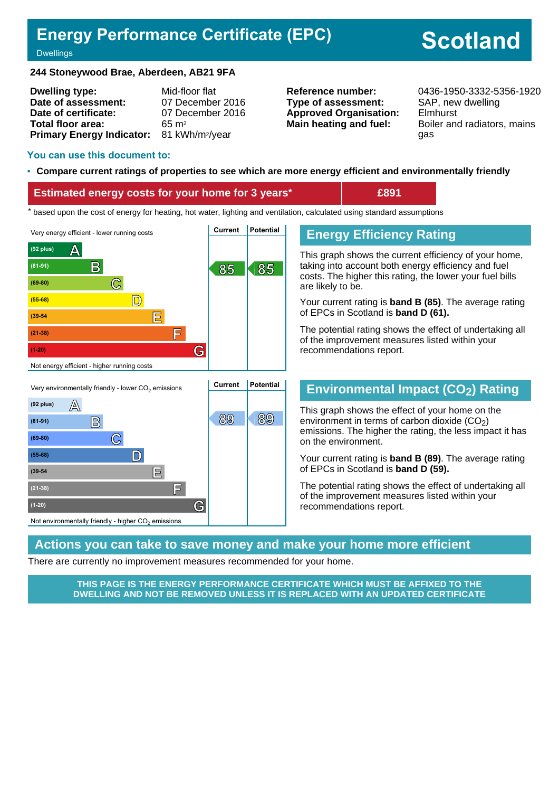# **Energy Performance Certificate (EPC)**

# **Scotland**

#### **Dwellings**

#### **244 Stoneywood Brae, Aberdeen, AB21 9FA**

| <b>Dwelling type:</b>                                 | Mid-floor flat   |
|-------------------------------------------------------|------------------|
| Date of assessment:                                   | 07 December 2016 |
| Date of certificate:                                  | 07 December 2016 |
| Total floor area:                                     | $65 \text{ m}^2$ |
| Primary Energy Indicator: 81 kWh/m <sup>2</sup> /year |                  |

**Type of assessment:** SAP, new dwelling **Approved Organisation:** Elmhurst

**Reference number:** 0436-1950-3332-5356-1920 **Main heating and fuel:** Boiler and radiators, mains gas

#### **You can use this document to:**

#### • **Compare current ratings of properties to see which are more energy efficient and environmentally friendly**

#### **Estimated energy costs for your home for 3 years\* £891**

the sed upon the cost of energy for heating, hot water, lighting and ventilation, calculated using standard assumptions





# **Energy Efficiency Rating**

This graph shows the current efficiency of your home, taking into account both energy efficiency and fuel costs. The higher this rating, the lower your fuel bills are likely to be.

Your current rating is **band B (85)**. The average rating of EPCs in Scotland is **band D (61).**

The potential rating shows the effect of undertaking all of the improvement measures listed within your recommendations report.

## **Environmental Impact (CO2) Rating**

This graph shows the effect of your home on the environment in terms of carbon dioxide  $(CO<sub>2</sub>)$ emissions. The higher the rating, the less impact it has on the environment.

Your current rating is **band B (89)**. The average rating of EPCs in Scotland is **band D (59).**

The potential rating shows the effect of undertaking all of the improvement measures listed within your recommendations report.

#### **Actions you can take to save money and make your home more efficient**

There are currently no improvement measures recommended for your home.

**THIS PAGE IS THE ENERGY PERFORMANCE CERTIFICATE WHICH MUST BE AFFIXED TO THE DWELLING AND NOT BE REMOVED UNLESS IT IS REPLACED WITH AN UPDATED CERTIFICATE**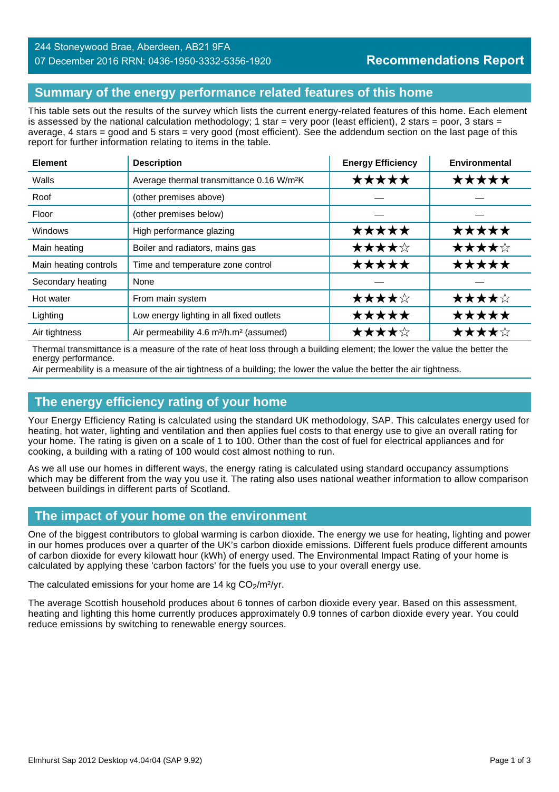#### 244 Stoneywood Brae, Aberdeen, AB21 9FA 07 December 2016 RRN: 0436-1950-3332-5356-1920

# **Summary of the energy performance related features of this home**

This table sets out the results of the survey which lists the current energy-related features of this home. Each element is assessed by the national calculation methodology; 1 star = very poor (least efficient), 2 stars = poor, 3 stars = average, 4 stars = good and 5 stars = very good (most efficient). See the addendum section on the last page of this report for further information relating to items in the table.

| <b>Element</b>        | <b>Description</b>                                              | <b>Energy Efficiency</b> | Environmental |
|-----------------------|-----------------------------------------------------------------|--------------------------|---------------|
| Walls                 | Average thermal transmittance 0.16 W/m <sup>2</sup> K           | *****                    | ★★★★★         |
| Roof                  | (other premises above)                                          |                          |               |
| Floor                 | (other premises below)                                          |                          |               |
| Windows               | High performance glazing                                        | ★★★★★                    | *****         |
| Main heating          | Boiler and radiators, mains gas                                 | ★★★★☆                    | ★★★★☆         |
| Main heating controls | Time and temperature zone control                               | ★★★★★                    | *****         |
| Secondary heating     | None                                                            |                          |               |
| Hot water             | From main system                                                | ★★★★☆                    | ★★★★☆         |
| Lighting              | Low energy lighting in all fixed outlets                        | *****                    | ★★★★★         |
| Air tightness         | Air permeability 4.6 m <sup>3</sup> /h.m <sup>2</sup> (assumed) | ★★★★☆                    | ★★★★☆         |

Thermal transmittance is a measure of the rate of heat loss through a building element; the lower the value the better the energy performance.

Air permeability is a measure of the air tightness of a building; the lower the value the better the air tightness.

## **The energy efficiency rating of your home**

Your Energy Efficiency Rating is calculated using the standard UK methodology, SAP. This calculates energy used for heating, hot water, lighting and ventilation and then applies fuel costs to that energy use to give an overall rating for your home. The rating is given on a scale of 1 to 100. Other than the cost of fuel for electrical appliances and for cooking, a building with a rating of 100 would cost almost nothing to run.

As we all use our homes in different ways, the energy rating is calculated using standard occupancy assumptions which may be different from the way you use it. The rating also uses national weather information to allow comparison between buildings in different parts of Scotland.

# **The impact of your home on the environment**

One of the biggest contributors to global warming is carbon dioxide. The energy we use for heating, lighting and power in our homes produces over a quarter of the UK's carbon dioxide emissions. Different fuels produce different amounts of carbon dioxide for every kilowatt hour (kWh) of energy used. The Environmental Impact Rating of your home is calculated by applying these 'carbon factors' for the fuels you use to your overall energy use.

The calculated emissions for your home are 14 kg  $CO<sub>2</sub>/m<sup>2</sup>/yr$ .

The average Scottish household produces about 6 tonnes of carbon dioxide every year. Based on this assessment, heating and lighting this home currently produces approximately 0.9 tonnes of carbon dioxide every year. You could reduce emissions by switching to renewable energy sources.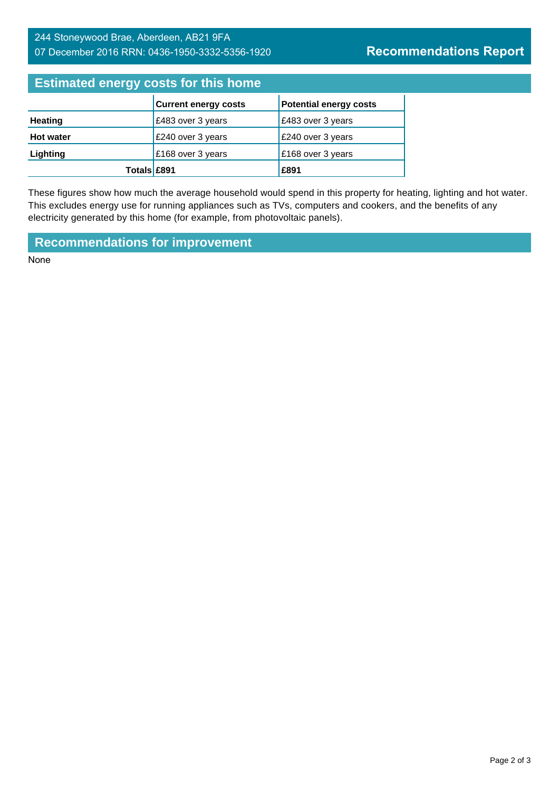# 244 Stoneywood Brae, Aberdeen, AB21 9FA 07 December 2016 RRN: 0436-1950-3332-5356-1920

# **Estimated energy costs for this home**

|                  | <b>Current energy costs</b> | <b>Potential energy costs</b> |
|------------------|-----------------------------|-------------------------------|
| <b>Heating</b>   | £483 over 3 years           | £483 over 3 years             |
| <b>Hot water</b> | £240 over 3 years           | £240 over 3 years             |
| Lighting         | £168 over 3 years           | £168 over 3 years             |
| Totals £891      |                             | £891                          |

These figures show how much the average household would spend in this property for heating, lighting and hot water. This excludes energy use for running appliances such as TVs, computers and cookers, and the benefits of any electricity generated by this home (for example, from photovoltaic panels).

**Recommendations for improvement**

None